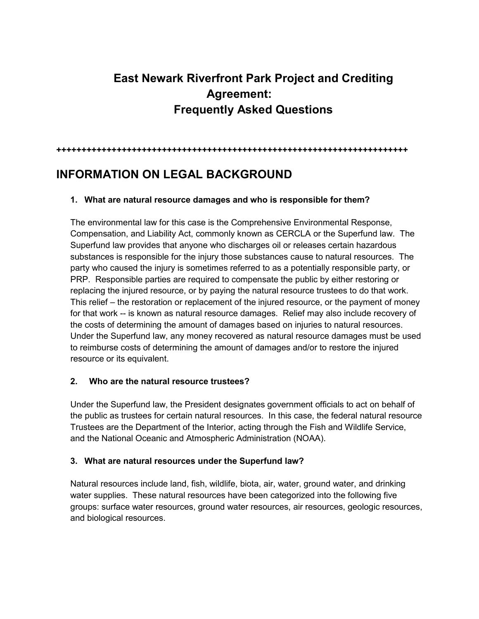# **East Newark Riverfront Park Project and Crediting Agreement: Frequently Asked Questions**

**++++++++++++++++++++++++++++++++++++++++++++++++++++++++++++++++++++++**

# **INFORMATION ON LEGAL BACKGROUND**

#### **1. What are natural resource damages and who is responsible for them?**

The environmental law for this case is the Comprehensive Environmental Response, Compensation, and Liability Act, commonly known as CERCLA or the Superfund law. The Superfund law provides that anyone who discharges oil or releases certain hazardous substances is responsible for the injury those substances cause to natural resources. The party who caused the injury is sometimes referred to as a potentially responsible party, or PRP. Responsible parties are required to compensate the public by either restoring or replacing the injured resource, or by paying the natural resource trustees to do that work. This relief – the restoration or replacement of the injured resource, or the payment of money for that work -- is known as natural resource damages. Relief may also include recovery of the costs of determining the amount of damages based on injuries to natural resources. Under the Superfund law, any money recovered as natural resource damages must be used to reimburse costs of determining the amount of damages and/or to restore the injured resource or its equivalent.

#### **2. Who are the natural resource trustees?**

Under the Superfund law, the President designates government officials to act on behalf of the public as trustees for certain natural resources. In this case, the federal natural resource Trustees are the Department of the Interior, acting through the Fish and Wildlife Service, and the National Oceanic and Atmospheric Administration (NOAA).

#### **3. What are natural resources under the Superfund law?**

Natural resources include land, fish, wildlife, biota, [air,](https://www.law.cornell.edu/definitions/index.php?width=840&height=800&iframe=true&def_id=5fdd59f1f9c20d55857c5e44424fe372&term_occur=999&term_src=Title:43:Subtitle:A:Part:11:Subpart:A:11.14) water, ground water, and drinking water supplies. These [natural resources](https://www.law.cornell.edu/definitions/index.php?width=840&height=800&iframe=true&def_id=2aa640ea3de20ff089d80a62865df71b&term_occur=999&term_src=Title:43:Subtitle:A:Part:11:Subpart:A:11.14) have been categorized into the following five groups: [surface water resources,](https://www.law.cornell.edu/definitions/index.php?width=840&height=800&iframe=true&def_id=ed0d8e3a10a2127c00dd33088408a1fe&term_occur=999&term_src=Title:43:Subtitle:A:Part:11:Subpart:A:11.14) [ground water resources,](https://www.law.cornell.edu/definitions/index.php?width=840&height=800&iframe=true&def_id=6b35f561c974499ce53322bbad62c223&term_occur=999&term_src=Title:43:Subtitle:A:Part:11:Subpart:A:11.14) [air resources,](https://www.law.cornell.edu/definitions/index.php?width=840&height=800&iframe=true&def_id=abf9c9778c570e83583698e09a2dee94&term_occur=999&term_src=Title:43:Subtitle:A:Part:11:Subpart:A:11.14) [geologic resources,](https://www.law.cornell.edu/definitions/index.php?width=840&height=800&iframe=true&def_id=1eeadcfabdcf83e00a8e649c813499ce&term_occur=999&term_src=Title:43:Subtitle:A:Part:11:Subpart:A:11.14) and [biological resources.](https://www.law.cornell.edu/definitions/index.php?width=840&height=800&iframe=true&def_id=3e49b8127bafc8739094dfe686d6a63f&term_occur=999&term_src=Title:43:Subtitle:A:Part:11:Subpart:A:11.14)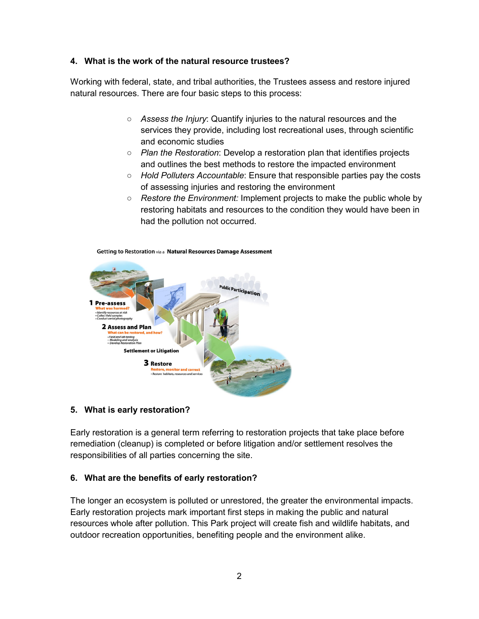#### **4. What is the work of the natural resource trustees?**

Working with federal, state, and tribal authorities, the Trustees assess and restore injured natural resources. There are four basic steps to this process:

- *[Assess the Injury](https://www.darrp.noaa.gov/getting-restoration/assessment)*: Quantify injuries to the natural resources and the services they provide, including lost recreational uses, through scientific and economic studies
- *Plan the Restoration*: Develop a restoration plan that identifies projects and outlines the best methods to restore the impacted environment
- *[Hold Polluters Accountable](https://www.darrp.noaa.gov/getting-restoration/settlement)*: Ensure that responsible parties pay the costs of assessing injuries and restoring the environment
- *[Restore the Environment:](https://www.darrp.noaa.gov/getting-restoration/restoration)* Implement projects to make the public whole by restoring habitats and resources to the condition they would have been in had the pollution not occurred.



#### Getting to Restoration via a Natural Resources Damage Assessment

#### **5. What is early restoration?**

Early restoration is a general term referring to restoration projects that take place before remediation (cleanup) is completed or before litigation and/or settlement resolves the responsibilities of all parties concerning the site.

#### **6. What are the benefits of early restoration?**

The longer an ecosystem is polluted or unrestored, the greater the environmental impacts. Early restoration projects mark important first steps in making the public and natural resources whole after pollution. This Park project will create fish and wildlife habitats, and outdoor recreation opportunities, benefiting people and the environment alike.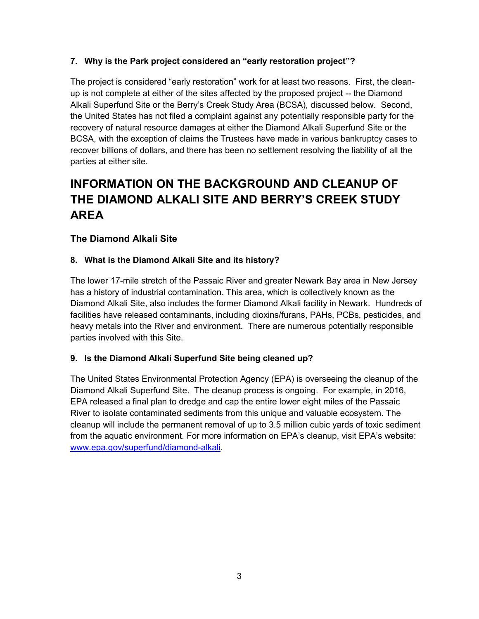# **7. Why is the Park project considered an "early restoration project"?**

The project is considered "early restoration" work for at least two reasons. First, the cleanup is not complete at either of the sites affected by the proposed project -- the Diamond Alkali Superfund Site or the Berry's Creek Study Area (BCSA), discussed below. Second, the United States has not filed a complaint against any potentially responsible party for the recovery of natural resource damages at either the Diamond Alkali Superfund Site or the BCSA, with the exception of claims the Trustees have made in various bankruptcy cases to recover billions of dollars, and there has been no settlement resolving the liability of all the parties at either site.

# **INFORMATION ON THE BACKGROUND AND CLEANUP OF THE DIAMOND ALKALI SITE AND BERRY'S CREEK STUDY AREA**

# **The Diamond Alkali Site**

### **8. What is the Diamond Alkali Site and its history?**

The lower 17-mile stretch of the Passaic River and greater Newark Bay area in New Jersey has a history of industrial contamination. This area, which is collectively known as the Diamond Alkali Site, also includes the former Diamond Alkali facility in Newark. Hundreds of facilities have released contaminants, including dioxins/furans, PAHs, PCBs, pesticides, and heavy metals into the River and environment. There are numerous potentially responsible parties involved with this Site.

### **9. Is the Diamond Alkali Superfund Site being cleaned up?**

The United States Environmental Protection Agency (EPA) is overseeing the cleanup of the Diamond Alkali Superfund Site. The cleanup process is ongoing. For example, in 2016, EPA released a final plan to dredge and cap the entire lower eight miles of the Passaic River to isolate contaminated sediments from this unique and valuable ecosystem. The cleanup will include the permanent removal of up to 3.5 million cubic yards of toxic sediment from the aquatic environment. For more information on EPA's cleanup, visit EPA's website: www.epa.gov/superfund/diamond-alkali.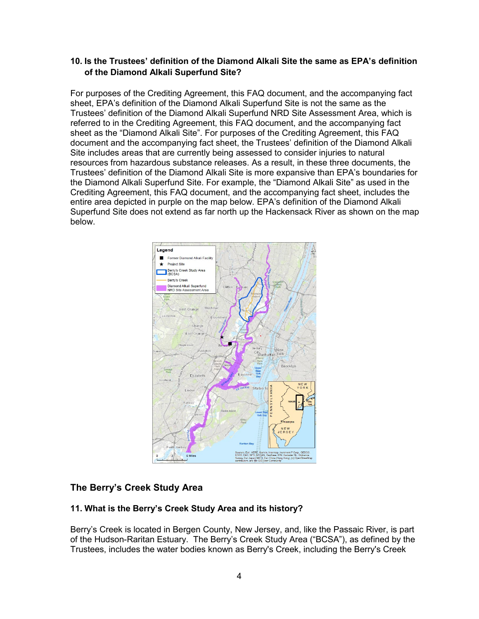### **10. Is the Trustees' definition of the Diamond Alkali Site the same as EPA's definition of the Diamond Alkali Superfund Site?**

For purposes of the Crediting Agreement, this FAQ document, and the accompanying fact sheet, EPA's definition of the Diamond Alkali Superfund Site is not the same as the Trustees' definition of the Diamond Alkali Superfund NRD Site Assessment Area, which is referred to in the Crediting Agreement, this FAQ document, and the accompanying fact sheet as the "Diamond Alkali Site". For purposes of the Crediting Agreement, this FAQ document and the accompanying fact sheet, the Trustees' definition of the Diamond Alkali Site includes areas that are currently being assessed to consider injuries to natural resources from hazardous substance releases. As a result, in these three documents, the Trustees' definition of the Diamond Alkali Site is more expansive than EPA's boundaries for the Diamond Alkali Superfund Site. For example, the "Diamond Alkali Site" as used in the Crediting Agreement, this FAQ document, and the accompanying fact sheet, includes the entire area depicted in purple on the map below. EPA's definition of the Diamond Alkali Superfund Site does not extend as far north up the Hackensack River as shown on the map below.



# **The Berry's Creek Study Area**

### **11. What is the Berry's Creek Study Area and its history?**

Berry's Creek is located in Bergen County, New Jersey, and, like the Passaic River, is part of the Hudson-Raritan Estuary. The Berry's Creek Study Area ("BCSA"), as defined by the Trustees, includes the water bodies known as Berry's Creek, including the Berry's Creek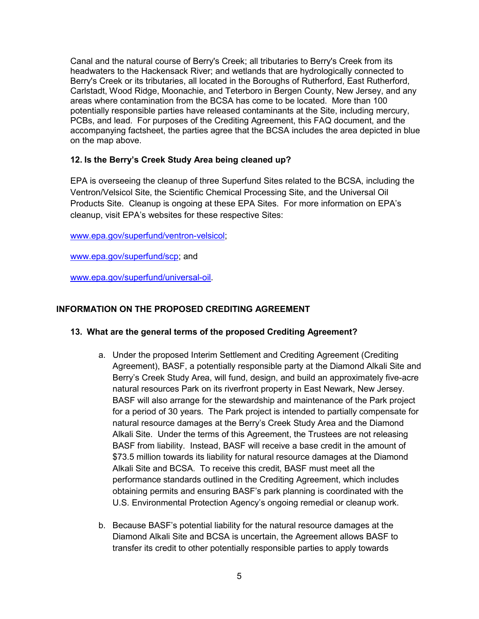Canal and the natural course of Berry's Creek; all tributaries to Berry's Creek from its headwaters to the Hackensack River; and wetlands that are hydrologically connected to Berry's Creek or its tributaries, all located in the Boroughs of Rutherford, East Rutherford, Carlstadt, Wood Ridge, Moonachie, and Teterboro in Bergen County, New Jersey, and any areas where contamination from the BCSA has come to be located. More than 100 potentially responsible parties have released contaminants at the Site, including mercury, PCBs, and lead. For purposes of the Crediting Agreement, this FAQ document, and the accompanying factsheet, the parties agree that the BCSA includes the area depicted in blue on the map above.

#### **12. Is the Berry's Creek Study Area being cleaned up?**

EPA is overseeing the cleanup of three Superfund Sites related to the BCSA, including the Ventron/Velsicol Site, the Scientific Chemical Processing Site, and the Universal Oil Products Site. Cleanup is ongoing at these EPA Sites. For more information on EPA's cleanup, visit EPA's websites for these respective Sites:

[www.epa.gov/superfund/ventron-velsicol;](http://www.epa.gov/superfund/ventron-velsicol)

[www.epa.gov/superfund/scp;](http://www.epa.gov/superfund/scp) and

[www.epa.gov/superfund/universal-oil.](http://www.epa.gov/superfund/universal-oil)

#### **INFORMATION ON THE PROPOSED CREDITING AGREEMENT**

#### **13. What are the general terms of the proposed Crediting Agreement?**

- a. Under the proposed Interim Settlement and Crediting Agreement (Crediting Agreement), BASF, a potentially responsible party at the Diamond Alkali Site and Berry's Creek Study Area, will fund, design, and build an approximately five-acre natural resources Park on its riverfront property in East Newark, New Jersey. BASF will also arrange for the stewardship and maintenance of the Park project for a period of 30 years. The Park project is intended to partially compensate for natural resource damages at the Berry's Creek Study Area and the Diamond Alkali Site. Under the terms of this Agreement, the Trustees are not releasing BASF from liability. Instead, BASF will receive a base credit in the amount of \$73.5 million towards its liability for natural resource damages at the Diamond Alkali Site and BCSA. To receive this credit, BASF must meet all the performance standards outlined in the Crediting Agreement, which includes obtaining permits and ensuring BASF's park planning is coordinated with the U.S. Environmental Protection Agency's ongoing remedial or cleanup work.
- b. Because BASF's potential liability for the natural resource damages at the Diamond Alkali Site and BCSA is uncertain, the Agreement allows BASF to transfer its credit to other potentially responsible parties to apply towards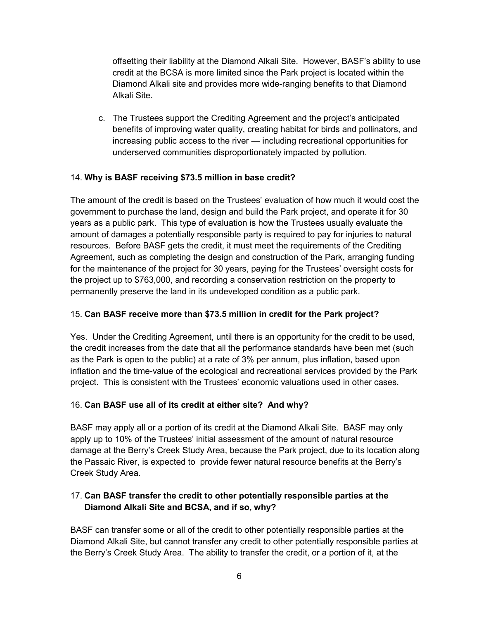offsetting their liability at the Diamond Alkali Site. However, BASF's ability to use credit at the BCSA is more limited since the Park project is located within the Diamond Alkali site and provides more wide-ranging benefits to that Diamond Alkali Site.

c. The Trustees support the Crediting Agreement and the project's anticipated benefits of improving water quality, creating habitat for birds and pollinators, and increasing public access to the river — including recreational opportunities for underserved communities disproportionately impacted by pollution.

# 14. **Why is BASF receiving \$73.5 million in base credit?**

The amount of the credit is based on the Trustees' evaluation of how much it would cost the government to purchase the land, design and build the Park project, and operate it for 30 years as a public park. This type of evaluation is how the Trustees usually evaluate the amount of damages a potentially responsible party is required to pay for injuries to natural resources. Before BASF gets the credit, it must meet the requirements of the Crediting Agreement, such as completing the design and construction of the Park, arranging funding for the maintenance of the project for 30 years, paying for the Trustees' oversight costs for the project up to \$763,000, and recording a conservation restriction on the property to permanently preserve the land in its undeveloped condition as a public park.

# 15. **Can BASF receive more than \$73.5 million in credit for the Park project?**

Yes. Under the Crediting Agreement, until there is an opportunity for the credit to be used, the credit increases from the date that all the performance standards have been met (such as the Park is open to the public) at a rate of 3% per annum, plus inflation, based upon inflation and the time-value of the ecological and recreational services provided by the Park project. This is consistent with the Trustees' economic valuations used in other cases.

### 16. **Can BASF use all of its credit at either site? And why?**

BASF may apply all or a portion of its credit at the Diamond Alkali Site. BASF may only apply up to 10% of the Trustees' initial assessment of the amount of natural resource damage at the Berry's Creek Study Area, because the Park project, due to its location along the Passaic River, is expected to provide fewer natural resource benefits at the Berry's Creek Study Area.

# 17. **Can BASF transfer the credit to other potentially responsible parties at the Diamond Alkali Site and BCSA, and if so, why?**

BASF can transfer some or all of the credit to other potentially responsible parties at the Diamond Alkali Site, but cannot transfer any credit to other potentially responsible parties at the Berry's Creek Study Area. The ability to transfer the credit, or a portion of it, at the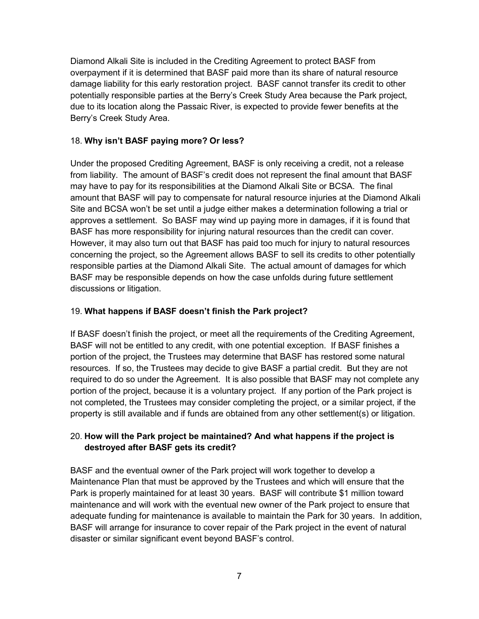Diamond Alkali Site is included in the Crediting Agreement to protect BASF from overpayment if it is determined that BASF paid more than its share of natural resource damage liability for this early restoration project. BASF cannot transfer its credit to other potentially responsible parties at the Berry's Creek Study Area because the Park project, due to its location along the Passaic River, is expected to provide fewer benefits at the Berry's Creek Study Area.

#### 18. **Why isn't BASF paying more? Or less?**

Under the proposed Crediting Agreement, BASF is only receiving a credit, not a release from liability. The amount of BASF's credit does not represent the final amount that BASF may have to pay for its responsibilities at the Diamond Alkali Site or BCSA. The final amount that BASF will pay to compensate for natural resource injuries at the Diamond Alkali Site and BCSA won't be set until a judge either makes a determination following a trial or approves a settlement. So BASF may wind up paying more in damages, if it is found that BASF has more responsibility for injuring natural resources than the credit can cover. However, it may also turn out that BASF has paid too much for injury to natural resources concerning the project, so the Agreement allows BASF to sell its credits to other potentially responsible parties at the Diamond Alkali Site. The actual amount of damages for which BASF may be responsible depends on how the case unfolds during future settlement discussions or litigation.

#### 19. **What happens if BASF doesn't finish the Park project?**

If BASF doesn't finish the project, or meet all the requirements of the Crediting Agreement, BASF will not be entitled to any credit, with one potential exception. If BASF finishes a portion of the project, the Trustees may determine that BASF has restored some natural resources. If so, the Trustees may decide to give BASF a partial credit. But they are not required to do so under the Agreement. It is also possible that BASF may not complete any portion of the project, because it is a voluntary project. If any portion of the Park project is not completed, the Trustees may consider completing the project, or a similar project, if the property is still available and if funds are obtained from any other settlement(s) or litigation.

### 20. **How will the Park project be maintained? And what happens if the project is destroyed after BASF gets its credit?**

BASF and the eventual owner of the Park project will work together to develop a Maintenance Plan that must be approved by the Trustees and which will ensure that the Park is properly maintained for at least 30 years. BASF will contribute \$1 million toward maintenance and will work with the eventual new owner of the Park project to ensure that adequate funding for maintenance is available to maintain the Park for 30 years. In addition, BASF will arrange for insurance to cover repair of the Park project in the event of natural disaster or similar significant event beyond BASF's control.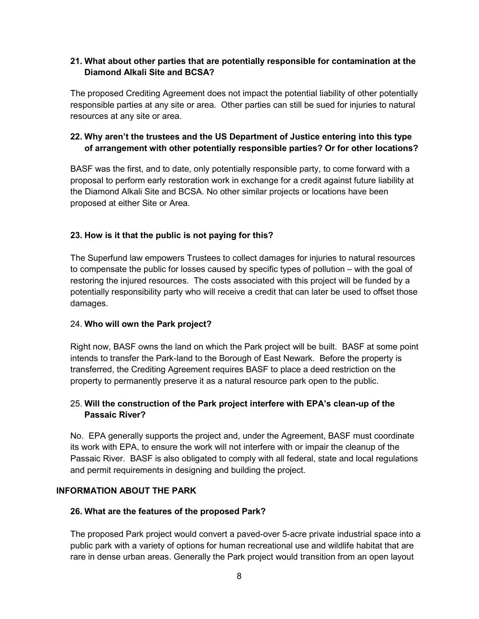# **21. What about other parties that are potentially responsible for contamination at the Diamond Alkali Site and BCSA?**

The proposed Crediting Agreement does not impact the potential liability of other potentially responsible parties at any site or area. Other parties can still be sued for injuries to natural resources at any site or area.

# **22. Why aren't the trustees and the US Department of Justice entering into this type of arrangement with other potentially responsible parties? Or for other locations?**

BASF was the first, and to date, only potentially responsible party, to come forward with a proposal to perform early restoration work in exchange for a credit against future liability at the Diamond Alkali Site and BCSA. No other similar projects or locations have been proposed at either Site or Area.

# **23. How is it that the public is not paying for this?**

The Superfund law empowers Trustees to collect damages for injuries to natural resources to compensate the public for losses caused by specific types of pollution – with the goal of restoring the injured resources. The costs associated with this project will be funded by a potentially responsibility party who will receive a credit that can later be used to offset those damages.

### 24. **Who will own the Park project?**

Right now, BASF owns the land on which the Park project will be built. BASF at some point intends to transfer the Park-land to the Borough of East Newark. Before the property is transferred, the Crediting Agreement requires BASF to place a deed restriction on the property to permanently preserve it as a natural resource park open to the public.

### 25. **Will the construction of the Park project interfere with EPA's clean-up of the Passaic River?**

No. EPA generally supports the project and, under the Agreement, BASF must coordinate its work with EPA, to ensure the work will not interfere with or impair the cleanup of the Passaic River. BASF is also obligated to comply with all federal, state and local regulations and permit requirements in designing and building the project.

### **INFORMATION ABOUT THE PARK**

### **26. What are the features of the proposed Park?**

The proposed Park project would convert a paved-over 5-acre private industrial space into a public park with a variety of options for human recreational use and wildlife habitat that are rare in dense urban areas. Generally the Park project would transition from an open layout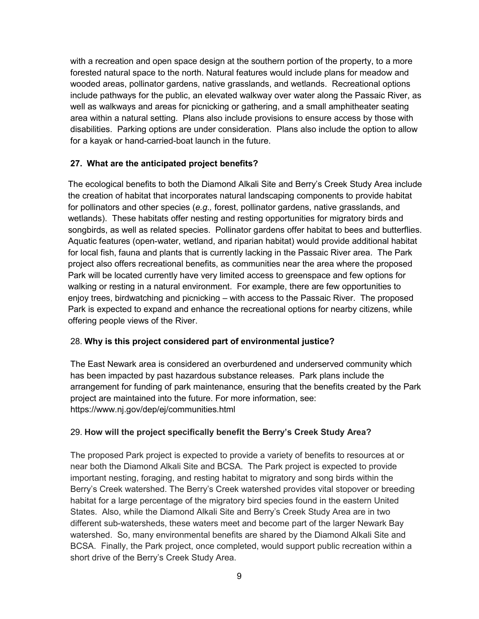with a recreation and open space design at the southern portion of the property, to a more forested natural space to the north. Natural features would include plans for meadow and wooded areas, pollinator gardens, native grasslands, and wetlands. Recreational options include pathways for the public, an elevated walkway over water along the Passaic River, as well as walkways and areas for picnicking or gathering, and a small amphitheater seating area within a natural setting. Plans also include provisions to ensure access by those with disabilities. Parking options are under consideration. Plans also include the option to allow for a kayak or hand-carried-boat launch in the future.

### **27. What are the anticipated project benefits?**

The ecological benefits to both the Diamond Alkali Site and Berry's Creek Study Area include the creation of habitat that incorporates natural landscaping components to provide habitat for pollinators and other species (*e.g.,* forest, pollinator gardens, native grasslands, and wetlands). These habitats offer nesting and resting opportunities for migratory birds and songbirds, as well as related species. Pollinator gardens offer habitat to bees and butterflies. Aquatic features (open-water, wetland, and riparian habitat) would provide additional habitat for local fish, fauna and plants that is currently lacking in the Passaic River area. The Park project also offers recreational benefits, as communities near the area where the proposed Park will be located currently have very limited access to greenspace and few options for walking or resting in a natural environment. For example, there are few opportunities to enjoy trees, birdwatching and picnicking – with access to the Passaic River. The proposed Park is expected to expand and enhance the recreational options for nearby citizens, while offering people views of the River.

### 28. **Why is this project considered part of environmental justice?**

The East Newark area is considered an overburdened and underserved community which has been impacted by past hazardous substance releases. Park plans include the arrangement for funding of park maintenance, ensuring that the benefits created by the Park project are maintained into the future. For more information, see: https://www.nj.gov/dep/ej/communities.html

### 29. **How will the project specifically benefit the Berry's Creek Study Area?**

The proposed Park project is expected to provide a variety of benefits to resources at or near both the Diamond Alkali Site and BCSA. The Park project is expected to provide important nesting, foraging, and resting habitat to migratory and song birds within the Berry's Creek watershed. The Berry's Creek watershed provides vital stopover or breeding habitat for a large percentage of the migratory bird species found in the eastern United States. Also, while the Diamond Alkali Site and Berry's Creek Study Area are in two different sub-watersheds, these waters meet and become part of the larger Newark Bay watershed. So, many environmental benefits are shared by the Diamond Alkali Site and BCSA. Finally, the Park project, once completed, would support public recreation within a short drive of the Berry's Creek Study Area.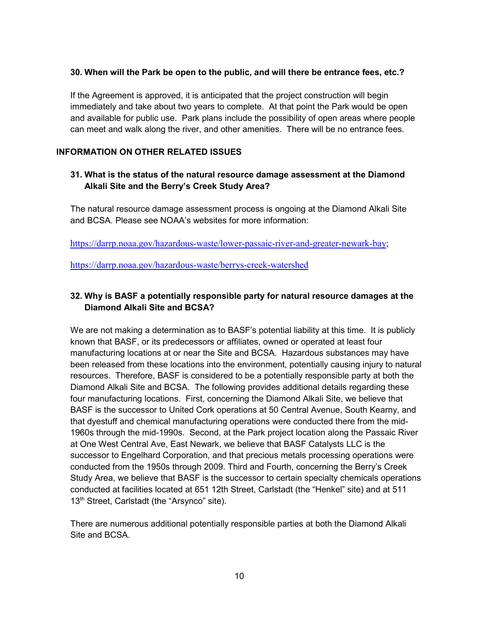#### **30. When will the Park be open to the public, and will there be entrance fees, etc.?**

If the Agreement is approved, it is anticipated that the project construction will begin immediately and take about two years to complete. At that point the Park would be open and available for public use. Park plans include the possibility of open areas where people can meet and walk along the river, and other amenities. There will be no entrance fees.

#### **INFORMATION ON OTHER RELATED ISSUES**

# **31. What is the status of the natural resource damage assessment at the Diamond Alkali Site and the Berry's Creek Study Area?**

The natural resource damage assessment process is ongoing at the Diamond Alkali Site and BCSA. Please see NOAA's websites for more information:

[https://darrp.noaa.gov/hazardous-waste/lower-passaic-river-and-greater-newark-bay;](https://darrp.noaa.gov/hazardous-waste/lower-passaic-river-and-greater-newark-bay)

<https://darrp.noaa.gov/hazardous-waste/berrys-creek-watershed>

# **32. Why is BASF a potentially responsible party for natural resource damages at the Diamond Alkali Site and BCSA?**

We are not making a determination as to BASF's potential liability at this time. It is publicly known that BASF, or its predecessors or affiliates, owned or operated at least four manufacturing locations at or near the Site and BCSA. Hazardous substances may have been released from these locations into the environment, potentially causing injury to natural resources. Therefore, BASF is considered to be a potentially responsible party at both the Diamond Alkali Site and BCSA. The following provides additional details regarding these four manufacturing locations. First, concerning the Diamond Alkali Site, we believe that BASF is the successor to United Cork operations at 50 Central Avenue, South Kearny, and that dyestuff and chemical manufacturing operations were conducted there from the mid-1960s through the mid-1990s. Second, at the Park project location along the Passaic River at One West Central Ave, East Newark, we believe that BASF Catalysts LLC is the successor to Engelhard Corporation, and that precious metals processing operations were conducted from the 1950s through 2009. Third and Fourth, concerning the Berry's Creek Study Area, we believe that BASF is the successor to certain specialty chemicals operations conducted at facilities located at 651 12th Street, Carlstadt (the "Henkel" site) and at 511 13<sup>th</sup> Street, Carlstadt (the "Arsynco" site).

There are numerous additional potentially responsible parties at both the Diamond Alkali Site and BCSA.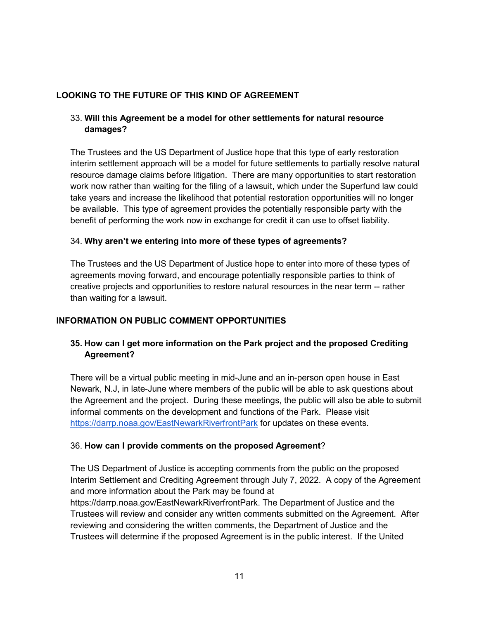# **LOOKING TO THE FUTURE OF THIS KIND OF AGREEMENT**

# 33. **Will this Agreement be a model for other settlements for natural resource damages?**

The Trustees and the US Department of Justice hope that this type of early restoration interim settlement approach will be a model for future settlements to partially resolve natural resource damage claims before litigation. There are many opportunities to start restoration work now rather than waiting for the filing of a lawsuit, which under the Superfund law could take years and increase the likelihood that potential restoration opportunities will no longer be available. This type of agreement provides the potentially responsible party with the benefit of performing the work now in exchange for credit it can use to offset liability.

### 34. **Why aren't we entering into more of these types of agreements?**

The Trustees and the US Department of Justice hope to enter into more of these types of agreements moving forward, and encourage potentially responsible parties to think of creative projects and opportunities to restore natural resources in the near term -- rather than waiting for a lawsuit.

### **INFORMATION ON PUBLIC COMMENT OPPORTUNITIES**

### **35. How can I get more information on the Park project and the proposed Crediting Agreement?**

There will be a virtual public meeting in mid-June and an in-person open house in East Newark, N.J, in late-June where members of the public will be able to ask questions about the Agreement and the project. During these meetings, the public will also be able to submit informal comments on the development and functions of the Park. Please visit <https://darrp.noaa.gov/EastNewarkRiverfrontPark> for updates on these events.

#### 36. **How can I provide comments on the proposed Agreement**?

The US Department of Justice is accepting comments from the public on the proposed Interim Settlement and Crediting Agreement through July 7, 2022. A copy of the Agreement and more information about the Park may be found a[t](https://darrp.noaa.gov/EastNewarkRiverfrontPark)

[https://darrp.noaa.gov/EastNewarkRiverfrontPark.](https://darrp.noaa.gov/EastNewarkRiverfrontPark) The Department of Justice and the Trustees will review and consider any written comments submitted on the Agreement. After reviewing and considering the written comments, the Department of Justice and the Trustees will determine if the proposed Agreement is in the public interest. If the United